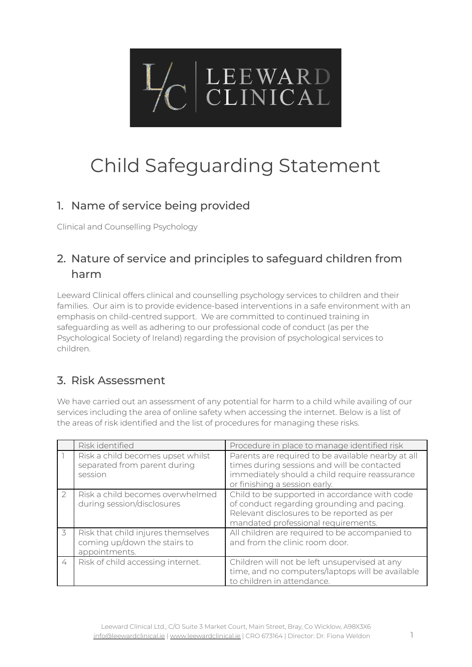

# Child Safeguarding Statement

### 1. Name of service being provided

Clinical and Counselling Psychology

## 2. Nature of service and principles to safeguard children from harm

Leeward Clinical offers clinical and counselling psychology services to children and their families. Our aim is to provide evidence-based interventions in a safe environment with an emphasis on child-centred support. We are committed to continued training in safeguarding as well as adhering to our professional code of conduct (as per the Psychological Society of Ireland) regarding the provision of psychological services to children.

### 3. Risk Assessment

We have carried out an assessment of any potential for harm to a child while availing of our services including the area of online safety when accessing the internet. Below is a list of the areas of risk identified and the list of procedures for managing these risks.

|               | Risk identified                                                                     | Procedure in place to manage identified risk                                                                                                                                         |
|---------------|-------------------------------------------------------------------------------------|--------------------------------------------------------------------------------------------------------------------------------------------------------------------------------------|
|               | Risk a child becomes upset whilst<br>separated from parent during<br>session        | Parents are required to be available nearby at all<br>times during sessions and will be contacted<br>immediately should a child require reassurance<br>or finishing a session early. |
| $\mathcal{P}$ | Risk a child becomes overwhelmed<br>during session/disclosures                      | Child to be supported in accordance with code<br>of conduct regarding grounding and pacing.<br>Relevant disclosures to be reported as per<br>mandated professional requirements.     |
| 3             | Risk that child injures themselves<br>coming up/down the stairs to<br>appointments. | All children are required to be accompanied to<br>and from the clinic room door.                                                                                                     |
| 4             | Risk of child accessing internet.                                                   | Children will not be left unsupervised at any<br>time, and no computers/laptops will be available<br>to children in attendance.                                                      |